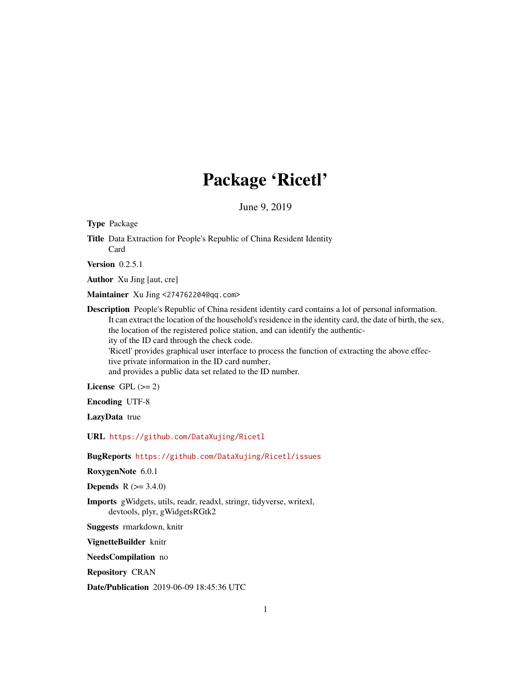# Package 'Ricetl'

June 9, 2019

Type Package

Title Data Extraction for People's Republic of China Resident Identity Card

**Version** 0.2.5.1

Author Xu Jing [aut, cre]

Maintainer Xu Jing <274762204@qq.com>

Description People's Republic of China resident identity card contains a lot of personal information. It can extract the location of the household's residence in the identity card, the date of birth, the sex, the location of the registered police station, and can identify the authenticity of the ID card through the check code. 'Ricetl' provides graphical user interface to process the function of extracting the above effective private information in the ID card number, and provides a public data set related to the ID number.

License GPL  $(>= 2)$ 

Encoding UTF-8

LazyData true

URL <https://github.com/DataXujing/Ricetl>

BugReports <https://github.com/DataXujing/Ricetl/issues>

RoxygenNote 6.0.1

**Depends** R  $(>= 3.4.0)$ 

Imports gWidgets, utils, readr, readxl, stringr, tidyverse, writexl, devtools, plyr, gWidgetsRGtk2

Suggests rmarkdown, knitr

VignetteBuilder knitr

NeedsCompilation no

Repository CRAN

Date/Publication 2019-06-09 18:45:36 UTC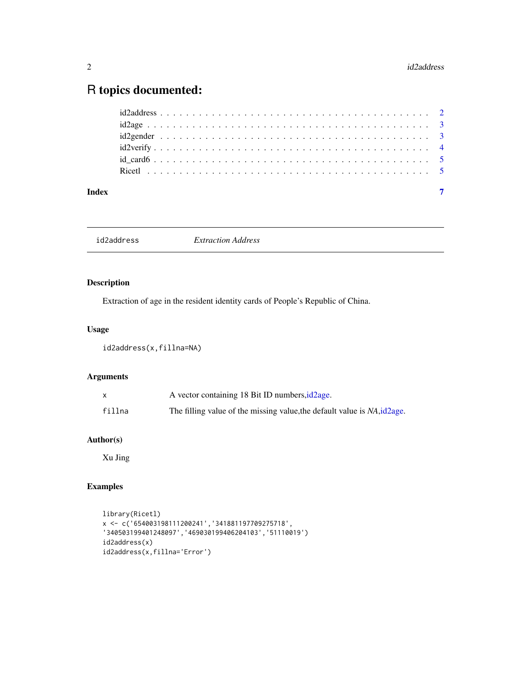## <span id="page-1-0"></span>R topics documented:

| Index |  |
|-------|--|
|       |  |
|       |  |
|       |  |
|       |  |
|       |  |
|       |  |

id2address *Extraction Address*

#### Description

Extraction of age in the resident identity cards of People's Republic of China.

#### Usage

id2address(x,fillna=NA)

#### Arguments

|        | A vector containing 18 Bit ID numbers, id 2age.                           |
|--------|---------------------------------------------------------------------------|
| fillna | The filling value of the missing value, the default value is NA, id 2age. |

#### Author(s)

Xu Jing

#### Examples

```
library(Ricetl)
x <- c('654003198111200241','341881197709275718',
'340503199401248097','469030199406204103','51110019')
id2address(x)
id2address(x,fillna='Error')
```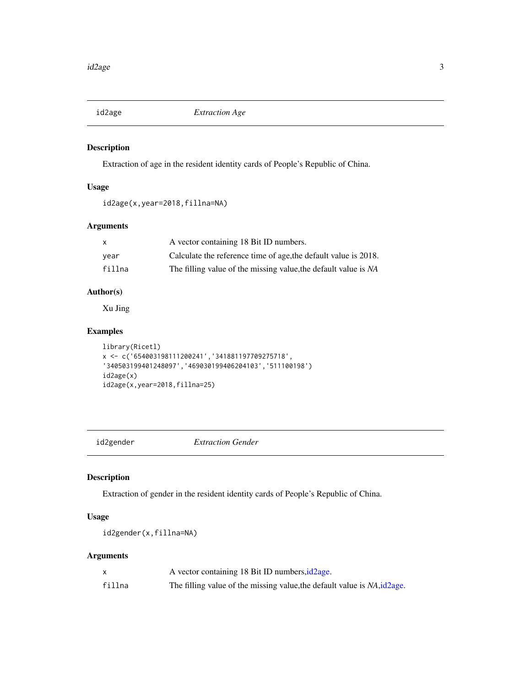<span id="page-2-1"></span><span id="page-2-0"></span>

#### Description

Extraction of age in the resident identity cards of People's Republic of China.

#### Usage

```
id2age(x,year=2018,fillna=NA)
```
#### Arguments

|        | A vector containing 18 Bit ID numbers.                          |
|--------|-----------------------------------------------------------------|
| vear   | Calculate the reference time of age, the default value is 2018. |
| fillna | The filling value of the missing value, the default value is NA |

#### Author(s)

Xu Jing

#### Examples

```
library(Ricetl)
x <- c('654003198111200241','341881197709275718',
'340503199401248097','469030199406204103','511100198')
id2age(x)
id2age(x,year=2018,fillna=25)
```
id2gender *Extraction Gender*

#### Description

Extraction of gender in the resident identity cards of People's Republic of China.

#### Usage

```
id2gender(x,fillna=NA)
```
#### Arguments

|        | A vector containing 18 Bit ID numbers, id 2age.                           |
|--------|---------------------------------------------------------------------------|
| fillna | The filling value of the missing value, the default value is NA, id 2age. |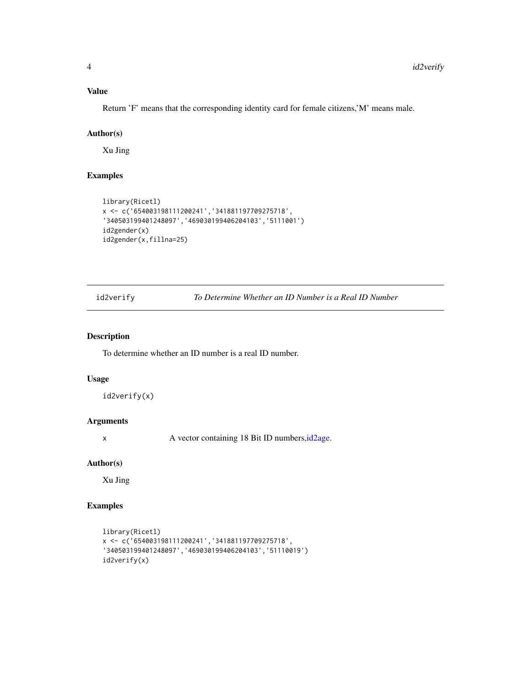#### <span id="page-3-0"></span>Value

Return 'F' means that the corresponding identity card for female citizens,'M' means male.

#### Author(s)

Xu Jing

#### Examples

```
library(Ricetl)
x <- c('654003198111200241','341881197709275718',
'340503199401248097','469030199406204103','5111001')
id2gender(x)
id2gender(x,fillna=25)
```
id2verify *To Determine Whether an ID Number is a Real ID Number*

#### Description

To determine whether an ID number is a real ID number.

#### Usage

id2verify(x)

#### Arguments

x A vector containing 18 Bit ID numbers, id 2age.

#### Author(s)

Xu Jing

#### Examples

```
library(Ricetl)
x <- c('654003198111200241','341881197709275718',
'340503199401248097','469030199406204103','51110019')
id2verify(x)
```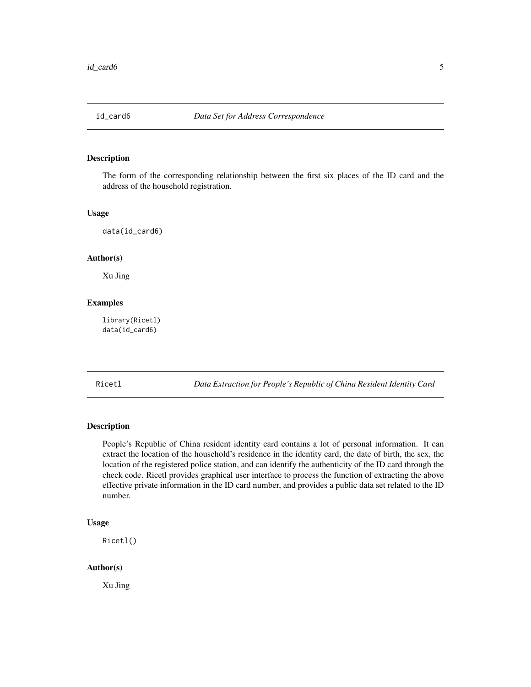<span id="page-4-0"></span>

#### Description

The form of the corresponding relationship between the first six places of the ID card and the address of the household registration.

#### Usage

data(id\_card6)

#### Author(s)

Xu Jing

#### Examples

library(Ricetl) data(id\_card6)

Ricetl *Data Extraction for People's Republic of China Resident Identity Card*

#### Description

People's Republic of China resident identity card contains a lot of personal information. It can extract the location of the household's residence in the identity card, the date of birth, the sex, the location of the registered police station, and can identify the authenticity of the ID card through the check code. Ricetl provides graphical user interface to process the function of extracting the above effective private information in the ID card number, and provides a public data set related to the ID number.

#### Usage

Ricetl()

#### Author(s)

Xu Jing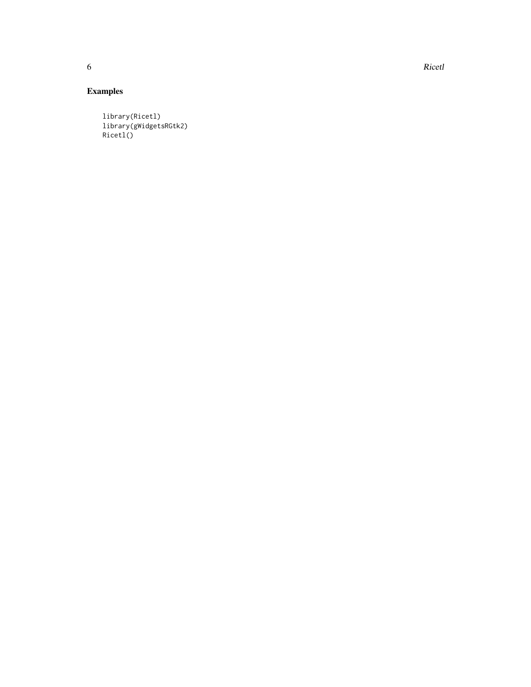6 and the contract of the contract of the contract of the contract of the contract of the contract of the contract of the contract of the contract of the contract of the contract of the contract of the contract of the cont

### Examples

library(Ricetl) library(gWidgetsRGtk2) Ricetl()